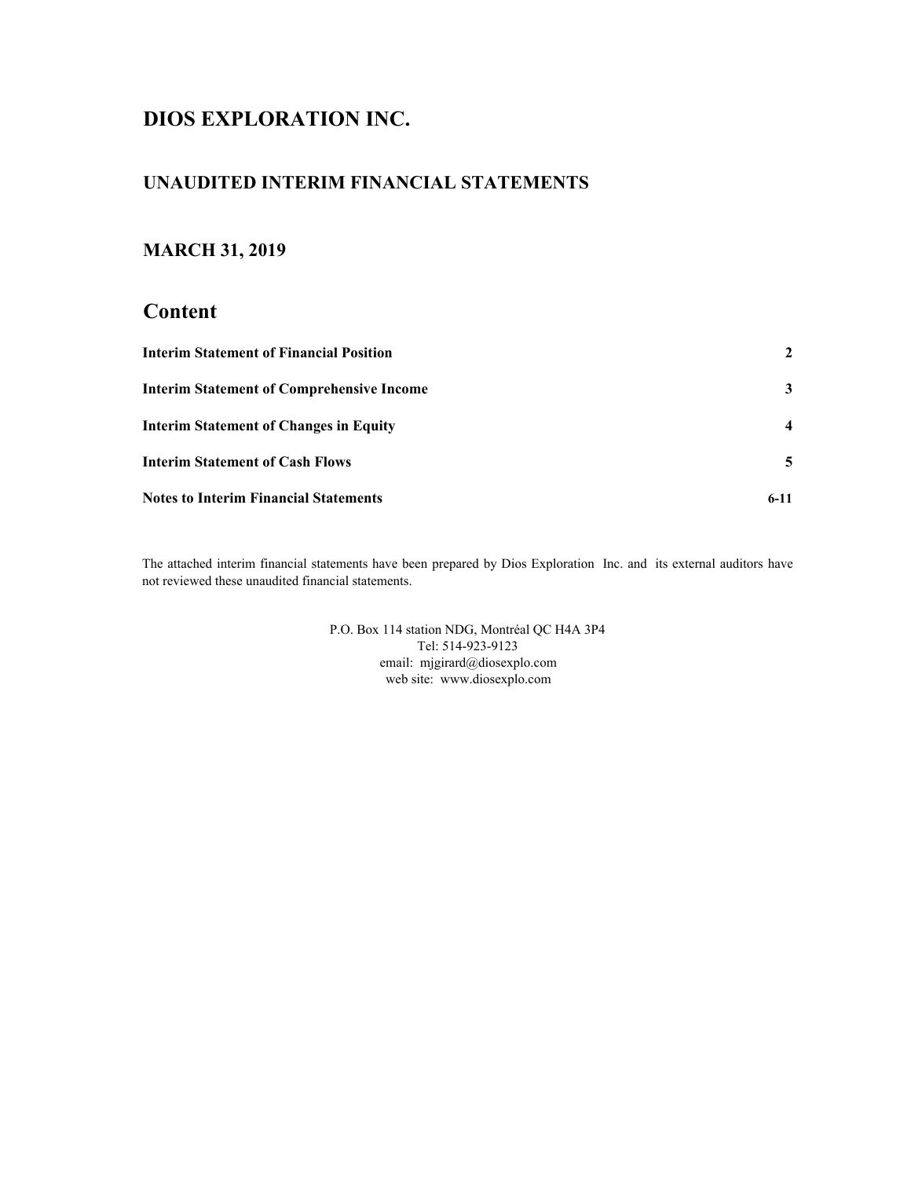# **DIOS EXPLORATION INC.**

## **UNAUDITED INTERIM FINANCIAL STATEMENTS**

## **MARCH 31, 2019**

### **Content**

| <b>Interim Statement of Financial Position</b>   |        |
|--------------------------------------------------|--------|
| <b>Interim Statement of Comprehensive Income</b> | 3      |
| <b>Interim Statement of Changes in Equity</b>    |        |
| <b>Interim Statement of Cash Flows</b>           | 5.     |
| <b>Notes to Interim Financial Statements</b>     | $6-11$ |

The attached interim financial statements have been prepared by Dios Exploration Inc. and its external auditors have not reviewed these unaudited financial statements.

> web site: www.diosexplo.com P.O. Box 114 station NDG, Montréal QC H4A 3P4 Tel: 514-923-9123 email: mjgirard@diosexplo.com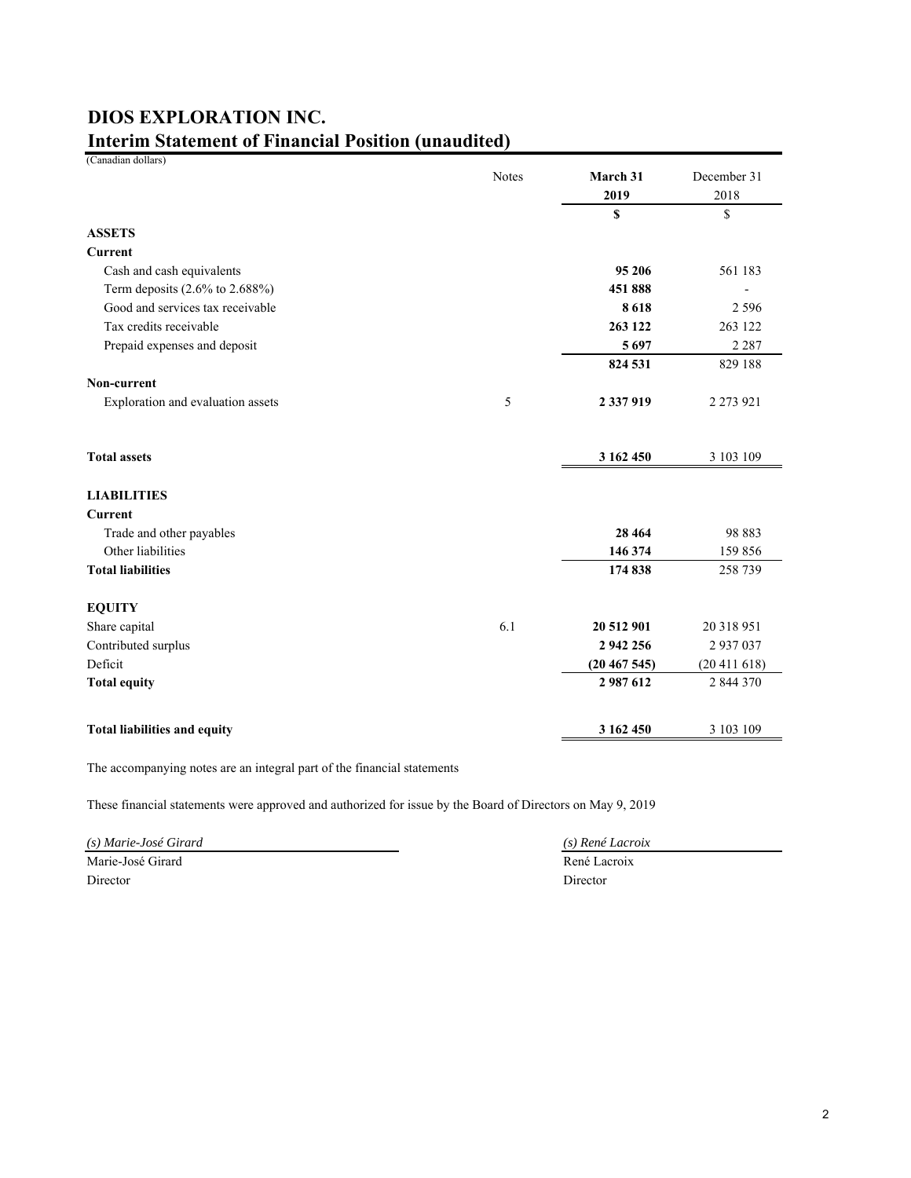| <b>DIOS EXPLORATION INC.</b>                               |  |
|------------------------------------------------------------|--|
| <b>Interim Statement of Financial Position (unaudited)</b> |  |

(Canadian dollars)

| <b>ASSETS</b>                                    | <b>Notes</b> | March 31<br>2019<br>\$ | December 31<br>2018<br>\$ |
|--------------------------------------------------|--------------|------------------------|---------------------------|
| <b>Current</b>                                   |              |                        |                           |
| Cash and cash equivalents                        |              | 95 206                 | 561 183                   |
| Term deposits (2.6% to 2.688%)                   |              | 451888                 |                           |
| Good and services tax receivable                 |              | 8618                   | 2 5 9 6                   |
| Tax credits receivable                           |              | 263 122                | 263 122                   |
| Prepaid expenses and deposit                     |              | 5697                   | 2 2 8 7                   |
|                                                  |              | 824 531                | 829 188                   |
| Non-current<br>Exploration and evaluation assets | 5            | 2 337 919              | 2 2 7 3 9 2 1             |
| <b>Total assets</b>                              |              | 3 162 450              | 3 103 109                 |
| <b>LIABILITIES</b>                               |              |                        |                           |
| Current                                          |              |                        |                           |
| Trade and other payables                         |              | 28 4 64                | 98 883                    |
| Other liabilities                                |              | 146 374                | 159 856                   |
| <b>Total liabilities</b>                         |              | 174 838                | 258 739                   |
| <b>EQUITY</b>                                    |              |                        |                           |
| Share capital                                    | 6.1          | 20 512 901             | 20 318 951                |
| Contributed surplus                              |              | 2 942 256              | 2 937 037                 |
| Deficit                                          |              | (20467545)             | (20411618)                |
| <b>Total equity</b>                              |              | 2987612                | 2 844 370                 |
| <b>Total liabilities and equity</b>              |              | 3 162 450              | 3 103 109                 |

The accompanying notes are an integral part of the financial statements

These financial statements were approved and authorized for issue by the Board of Directors on May 9, 2019

*(s) Marie-José Girard (s) René Lacroix* Marie-José Girard René Lacroix Director Director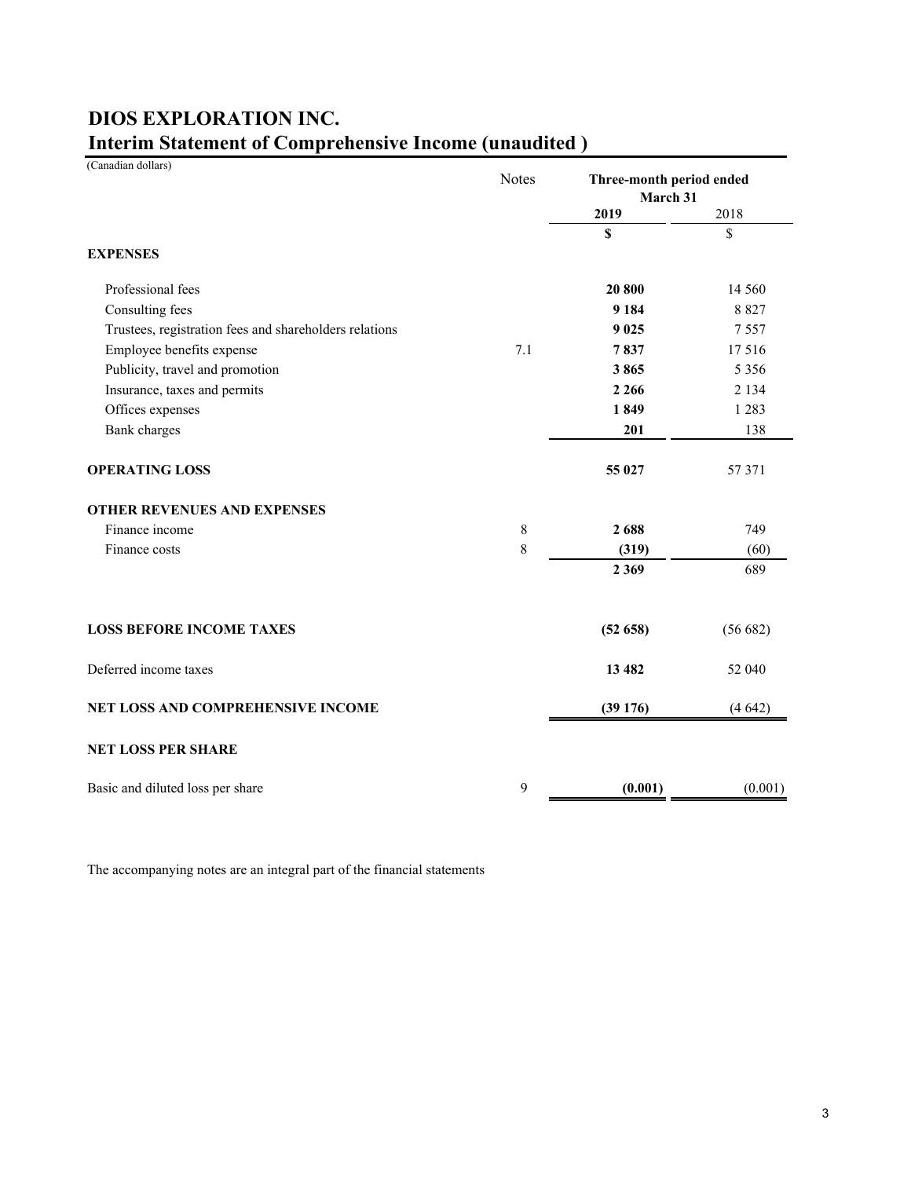| (Canadian dollars)                                     | <b>Notes</b> | Three-month period ended<br>March 31 |          |
|--------------------------------------------------------|--------------|--------------------------------------|----------|
|                                                        |              | 2019                                 | 2018     |
|                                                        |              | \$                                   | \$       |
| <b>EXPENSES</b>                                        |              |                                      |          |
| Professional fees                                      |              | 20 800                               | 14 5 6 0 |
| Consulting fees                                        |              | 9 1 8 4                              | 8827     |
| Trustees, registration fees and shareholders relations |              | 9 0 25                               | 7557     |
| Employee benefits expense                              | 7.1          | 7837                                 | 17516    |
| Publicity, travel and promotion                        |              | 3865                                 | 5 3 5 6  |
| Insurance, taxes and permits                           |              | 2 2 6 6                              | 2 1 3 4  |
| Offices expenses                                       |              | 1849                                 | 1 2 8 3  |
| <b>Bank</b> charges                                    |              | 201                                  | 138      |
| <b>OPERATING LOSS</b>                                  |              | 55 027                               | 57 371   |
| <b>OTHER REVENUES AND EXPENSES</b>                     |              |                                      |          |
| Finance income                                         | 8            | 2688                                 | 749      |
| Finance costs                                          | $8\,$        | (319)                                | (60)     |
|                                                        |              | 2 3 6 9                              | 689      |
| <b>LOSS BEFORE INCOME TAXES</b>                        |              | (52658)                              | (56682)  |
| Deferred income taxes                                  |              | 13 4 82                              | 52 040   |
| <b>NET LOSS AND COMPREHENSIVE INCOME</b>               |              | (39176)                              | (4642)   |
| <b>NET LOSS PER SHARE</b>                              |              |                                      |          |
| Basic and diluted loss per share                       | 9            | (0.001)                              | (0.001)  |

# **Interim Statement of Comprehensive Income (unaudited ) DIOS EXPLORATION INC.**

The accompanying notes are an integral part of the financial statements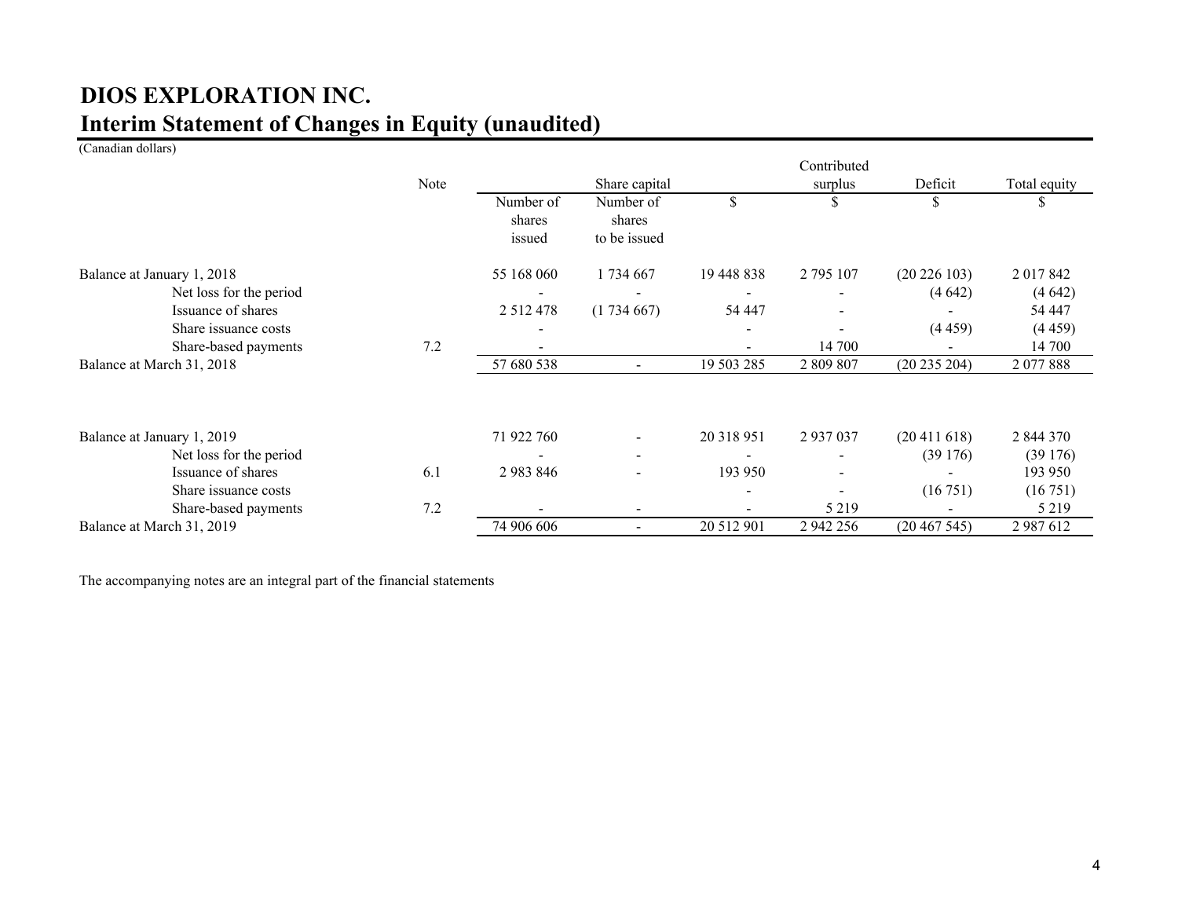# **Interim Statement of Changes in Equity (unaudited) DIOS EXPLORATION INC.**

### (Canadian dollars)

|                            |      |                               |                                     |            | Contributed |                  |              |
|----------------------------|------|-------------------------------|-------------------------------------|------------|-------------|------------------|--------------|
|                            | Note |                               | Share capital                       |            | surplus     | Deficit          | Total equity |
|                            |      | Number of<br>shares<br>issued | Number of<br>shares<br>to be issued | \$         |             |                  |              |
| Balance at January 1, 2018 |      | 55 168 060                    | 1 734 667                           | 19 448 838 | 2 795 107   | $(20\ 226\ 103)$ | 2 017 842    |
| Net loss for the period    |      |                               |                                     |            |             | (4642)           | (4642)       |
| Issuance of shares         |      | 2 5 1 2 4 7 8                 | (1734667)                           | 54 447     |             |                  | 54 447       |
| Share issuance costs       |      |                               |                                     |            |             | (4459)           | (4459)       |
| Share-based payments       | 7.2  |                               |                                     |            | 14 700      |                  | 14 700       |
| Balance at March 31, 2018  |      | 57 680 538                    |                                     | 19 503 285 | 2 809 807   | (20 235 204)     | 2 077 888    |
| Balance at January 1, 2019 |      | 71 922 760                    | $\sim$                              | 20 318 951 | 2937037     | (20411618)       | 2 844 370    |
| Net loss for the period    |      |                               | $\sim$                              |            |             | (39176)          | (39176)      |
| Issuance of shares         | 6.1  | 2983846                       | $\blacksquare$                      | 193 950    |             |                  | 193 950      |
| Share issuance costs       |      |                               |                                     |            |             | (16751)          | (16751)      |
| Share-based payments       | 7.2  |                               |                                     |            | 5 2 1 9     |                  | 5 2 1 9      |
| Balance at March 31, 2019  |      | 74 906 606                    | $\overline{\phantom{a}}$            | 20 512 901 | 2 942 256   | (20467545)       | 2987612      |

The accompanying notes are an integral part of the financial statements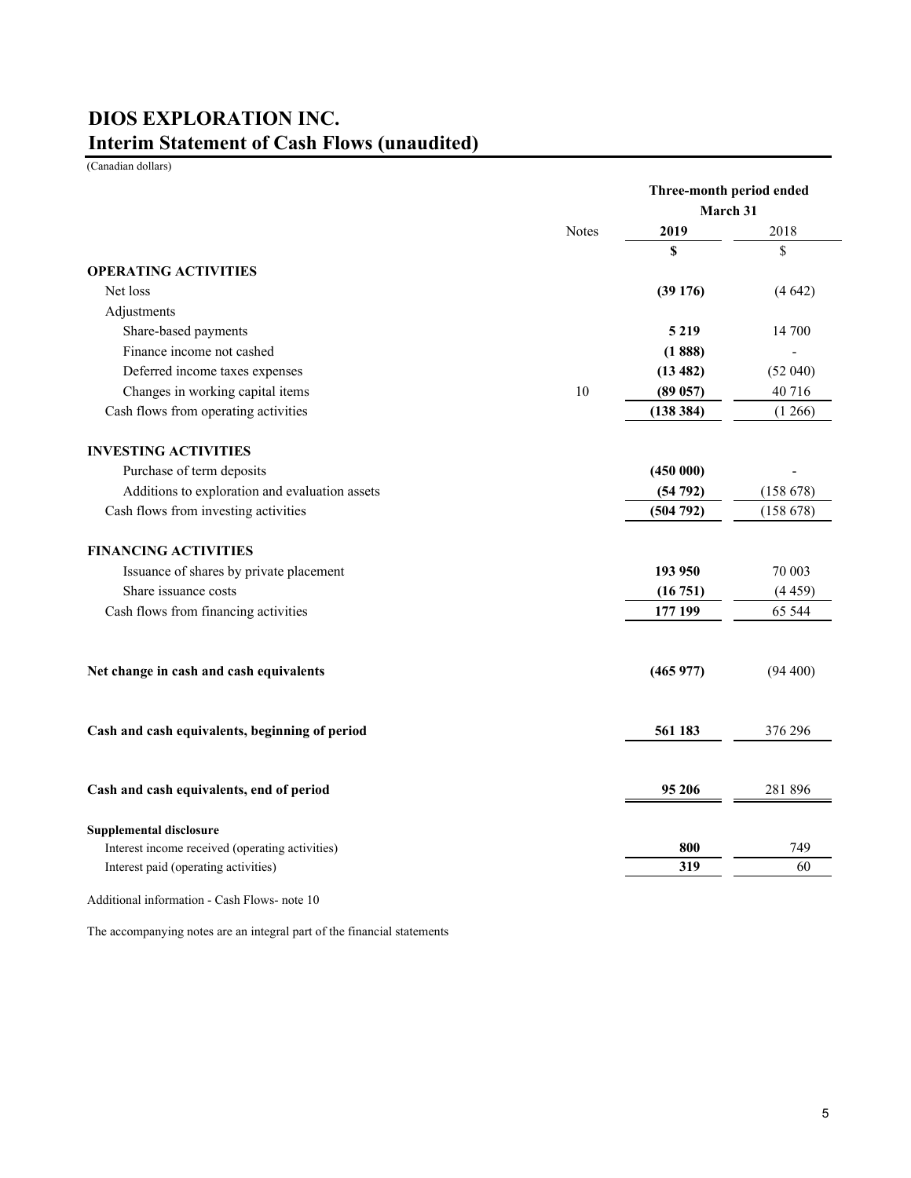# **Interim Statement of Cash Flows (unaudited) DIOS EXPLORATION INC.**

(Canadian dollars)

|                                                 | Three-month period ended |          |          |  |
|-------------------------------------------------|--------------------------|----------|----------|--|
|                                                 |                          | March 31 |          |  |
|                                                 | Notes                    | 2019     | 2018     |  |
|                                                 |                          | \$       | \$       |  |
| <b>OPERATING ACTIVITIES</b>                     |                          |          |          |  |
| Net loss                                        |                          | (39176)  | (4642)   |  |
| Adjustments                                     |                          |          |          |  |
| Share-based payments                            |                          | 5 2 1 9  | 14 700   |  |
| Finance income not cashed                       |                          | (1888)   |          |  |
| Deferred income taxes expenses                  |                          | (13 482) | (52040)  |  |
| Changes in working capital items                | 10                       | (89 057) | 40716    |  |
| Cash flows from operating activities            |                          | (138384) | (1266)   |  |
| <b>INVESTING ACTIVITIES</b>                     |                          |          |          |  |
| Purchase of term deposits                       |                          | (450000) |          |  |
| Additions to exploration and evaluation assets  |                          | (54792)  | (158678) |  |
| Cash flows from investing activities            |                          | (504792) | (158678) |  |
| <b>FINANCING ACTIVITIES</b>                     |                          |          |          |  |
| Issuance of shares by private placement         |                          | 193 950  | 70 003   |  |
| Share issuance costs                            |                          | (16751)  | (4459)   |  |
| Cash flows from financing activities            |                          | 177 199  | 65 544   |  |
| Net change in cash and cash equivalents         |                          | (465977) | (94 400) |  |
| Cash and cash equivalents, beginning of period  |                          | 561 183  | 376 296  |  |
| Cash and cash equivalents, end of period        |                          | 95 206   | 281 896  |  |
| <b>Supplemental disclosure</b>                  |                          |          |          |  |
| Interest income received (operating activities) |                          | 800      | 749      |  |
| Interest paid (operating activities)            |                          | 319      | 60       |  |
| Additional information - Cash Flows- note 10    |                          |          |          |  |

The accompanying notes are an integral part of the financial statements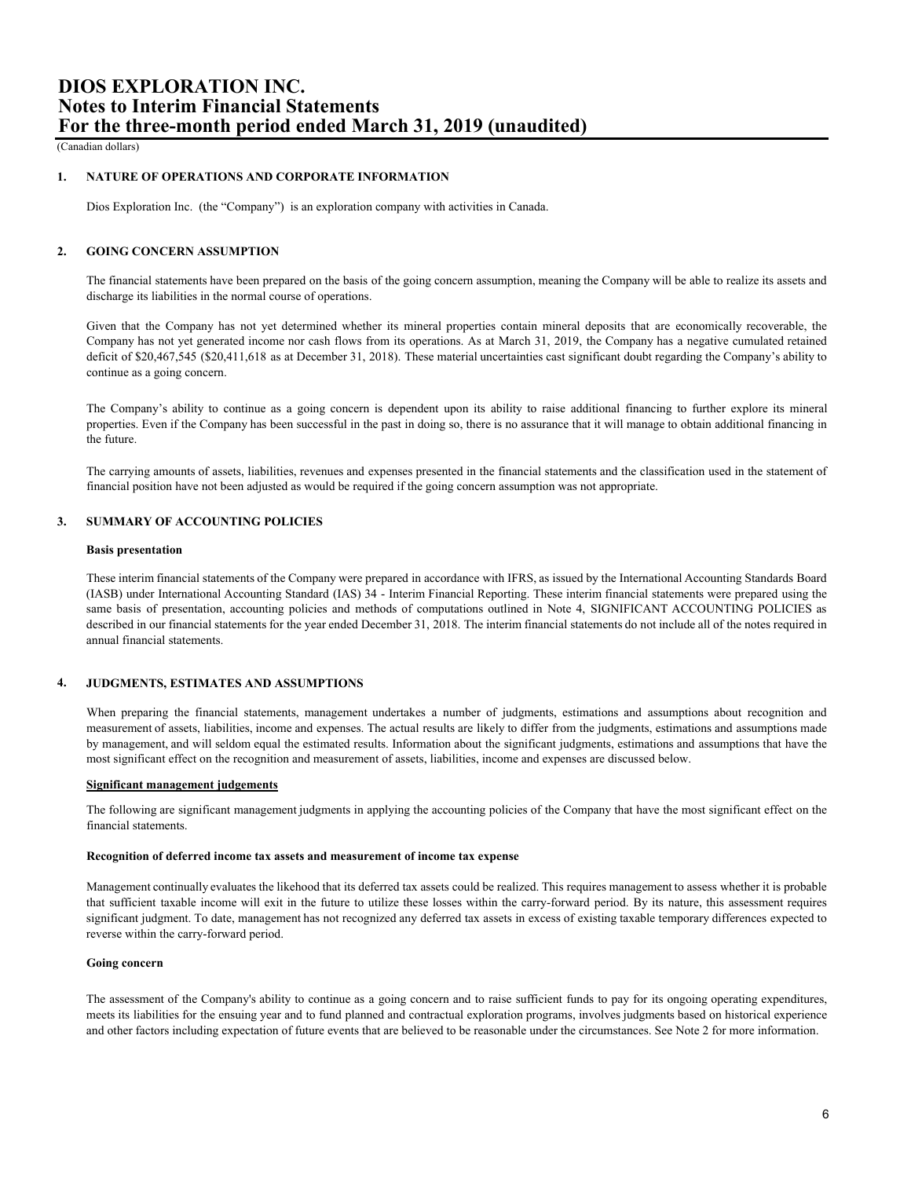(Canadian dollars)

### **1. NATURE OF OPERATIONS AND CORPORATE INFORMATION**

Dios Exploration Inc. (the "Company") is an exploration company with activities in Canada.

### **2. GOING CONCERN ASSUMPTION**

The financial statements have been prepared on the basis of the going concern assumption, meaning the Company will be able to realize its assets and discharge its liabilities in the normal course of operations.

Given that the Company has not yet determined whether its mineral properties contain mineral deposits that are economically recoverable, the Company has not yet generated income nor cash flows from its operations. As at March 31, 2019, the Company has a negative cumulated retained deficit of \$20,467,545 (\$20,411,618 as at December 31, 2018). These material uncertainties cast significant doubt regarding the Company's ability to continue as a going concern.

The Company's ability to continue as a going concern is dependent upon its ability to raise additional financing to further explore its mineral properties. Even if the Company has been successful in the past in doing so, there is no assurance that it will manage to obtain additional financing in the future.

The carrying amounts of assets, liabilities, revenues and expenses presented in the financial statements and the classification used in the statement of financial position have not been adjusted as would be required if the going concern assumption was not appropriate.

### **3. SUMMARY OF ACCOUNTING POLICIES**

### **Basis presentation**

These interim financial statements of the Company were prepared in accordance with IFRS, as issued by the International Accounting Standards Board (IASB) under International Accounting Standard (IAS) 34 - Interim Financial Reporting. These interim financial statements were prepared using the same basis of presentation, accounting policies and methods of computations outlined in Note 4, SIGNIFICANT ACCOUNTING POLICIES as described in our financial statements for the year ended December 31, 2018. The interim financial statements do not include all of the notes required in annual financial statements.

#### **4. JUDGMENTS, ESTIMATES AND ASSUMPTIONS**

When preparing the financial statements, management undertakes a number of judgments, estimations and assumptions about recognition and measurement of assets, liabilities, income and expenses. The actual results are likely to differ from the judgments, estimations and assumptions made by management, and will seldom equal the estimated results. Information about the significant judgments, estimations and assumptions that have the most significant effect on the recognition and measurement of assets, liabilities, income and expenses are discussed below.

### **Significant management judgements**

The following are significant management judgments in applying the accounting policies of the Company that have the most significant effect on the financial statements.

### **Recognition of deferred income tax assets and measurement of income tax expense**

Management continually evaluates the likehood that its deferred tax assets could be realized. This requires management to assess whether it is probable that sufficient taxable income will exit in the future to utilize these losses within the carry-forward period. By its nature, this assessment requires significant judgment. To date, management has not recognized any deferred tax assets in excess of existing taxable temporary differences expected to reverse within the carry-forward period.

### **Going concern**

The assessment of the Company's ability to continue as a going concern and to raise sufficient funds to pay for its ongoing operating expenditures, meets its liabilities for the ensuing year and to fund planned and contractual exploration programs, involves judgments based on historical experience and other factors including expectation of future events that are believed to be reasonable under the circumstances. See Note 2 for more information.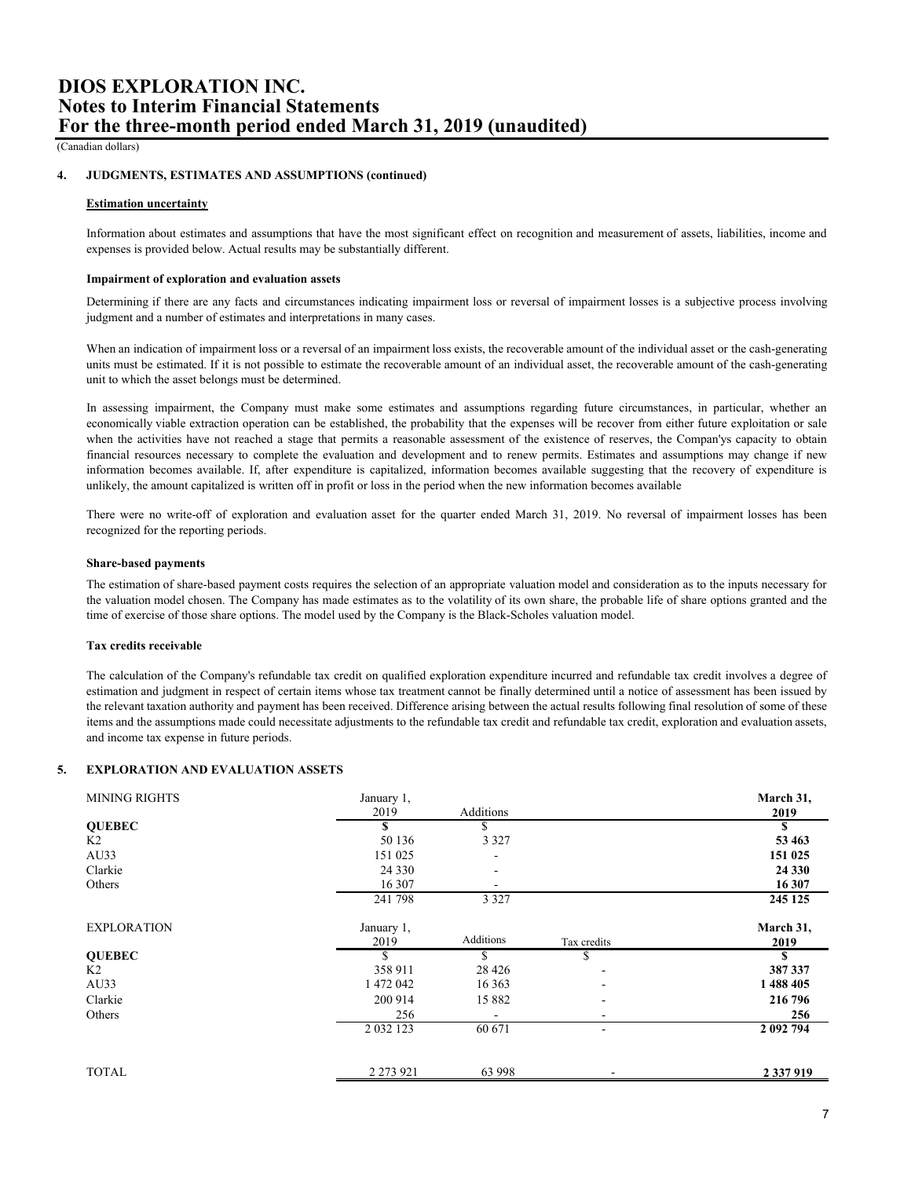(Canadian dollars)

#### **4. JUDGMENTS, ESTIMATES AND ASSUMPTIONS (continued)**

### **Estimation uncertainty**

Information about estimates and assumptions that have the most significant effect on recognition and measurement of assets, liabilities, income and expenses is provided below. Actual results may be substantially different.

### **Impairment of exploration and evaluation assets**

Determining if there are any facts and circumstances indicating impairment loss or reversal of impairment losses is a subjective process involving judgment and a number of estimates and interpretations in many cases.

When an indication of impairment loss or a reversal of an impairment loss exists, the recoverable amount of the individual asset or the cash-generating units must be estimated. If it is not possible to estimate the recoverable amount of an individual asset, the recoverable amount of the cash-generating unit to which the asset belongs must be determined.

In assessing impairment, the Company must make some estimates and assumptions regarding future circumstances, in particular, whether an economically viable extraction operation can be established, the probability that the expenses will be recover from either future exploitation or sale when the activities have not reached a stage that permits a reasonable assessment of the existence of reserves, the Compan'ys capacity to obtain financial resources necessary to complete the evaluation and development and to renew permits. Estimates and assumptions may change if new information becomes available. If, after expenditure is capitalized, information becomes available suggesting that the recovery of expenditure is unlikely, the amount capitalized is written off in profit or loss in the period when the new information becomes available

There were no write-off of exploration and evaluation asset for the quarter ended March 31, 2019. No reversal of impairment losses has been recognized for the reporting periods.

### **Share-based payments**

The estimation of share-based payment costs requires the selection of an appropriate valuation model and consideration as to the inputs necessary for the valuation model chosen. The Company has made estimates as to the volatility of its own share, the probable life of share options granted and the time of exercise of those share options. The model used by the Company is the Black-Scholes valuation model.

### **Tax credits receivable**

The calculation of the Company's refundable tax credit on qualified exploration expenditure incurred and refundable tax credit involves a degree of estimation and judgment in respect of certain items whose tax treatment cannot be finally determined until a notice of assessment has been issued by the relevant taxation authority and payment has been received. Difference arising between the actual results following final resolution of some of these items and the assumptions made could necessitate adjustments to the refundable tax credit and refundable tax credit, exploration and evaluation assets, and income tax expense in future periods.

#### **5. EXPLORATION AND EVALUATION ASSETS**

| <b>MINING RIGHTS</b> | January 1,<br>2019 | Additions                |                          | March 31,<br>2019 |
|----------------------|--------------------|--------------------------|--------------------------|-------------------|
| <b>OUEBEC</b>        | \$                 | \$                       |                          | \$                |
| K2                   | 50 136             | 3 3 2 7                  |                          | 53 4 63           |
| AU33                 | 151 025            |                          |                          | 151 025           |
| Clarkie              | 24 3 3 0           | $\overline{\phantom{a}}$ |                          | 24 3 30           |
| Others               | 16 307             | $\overline{\phantom{0}}$ |                          | 16 307            |
|                      | 241 798            | 3 3 2 7                  |                          | 245 125           |
| <b>EXPLORATION</b>   | January 1,         |                          |                          | March 31,         |
|                      | 2019               | Additions                | Tax credits              | 2019              |
| <b>QUEBEC</b>        | S                  | S.                       | S                        | \$                |
| K <sub>2</sub>       | 358 911            | 28 4 26                  |                          | 387 337           |
| AU33                 | 1472042            | 16 3 63                  |                          | 1488405           |
| Clarkie              | 200 914            | 15 882                   | $\overline{\phantom{a}}$ | 216 796           |
| Others               | 256                |                          |                          | 256               |
|                      | 2 0 3 2 1 2 3      | 60 671                   | $\overline{\phantom{a}}$ | 2 092 794         |
| <b>TOTAL</b>         | 2 2 7 3 9 2 1      | 63 998                   |                          |                   |
|                      |                    |                          |                          | 2 3 3 7 9 1 9     |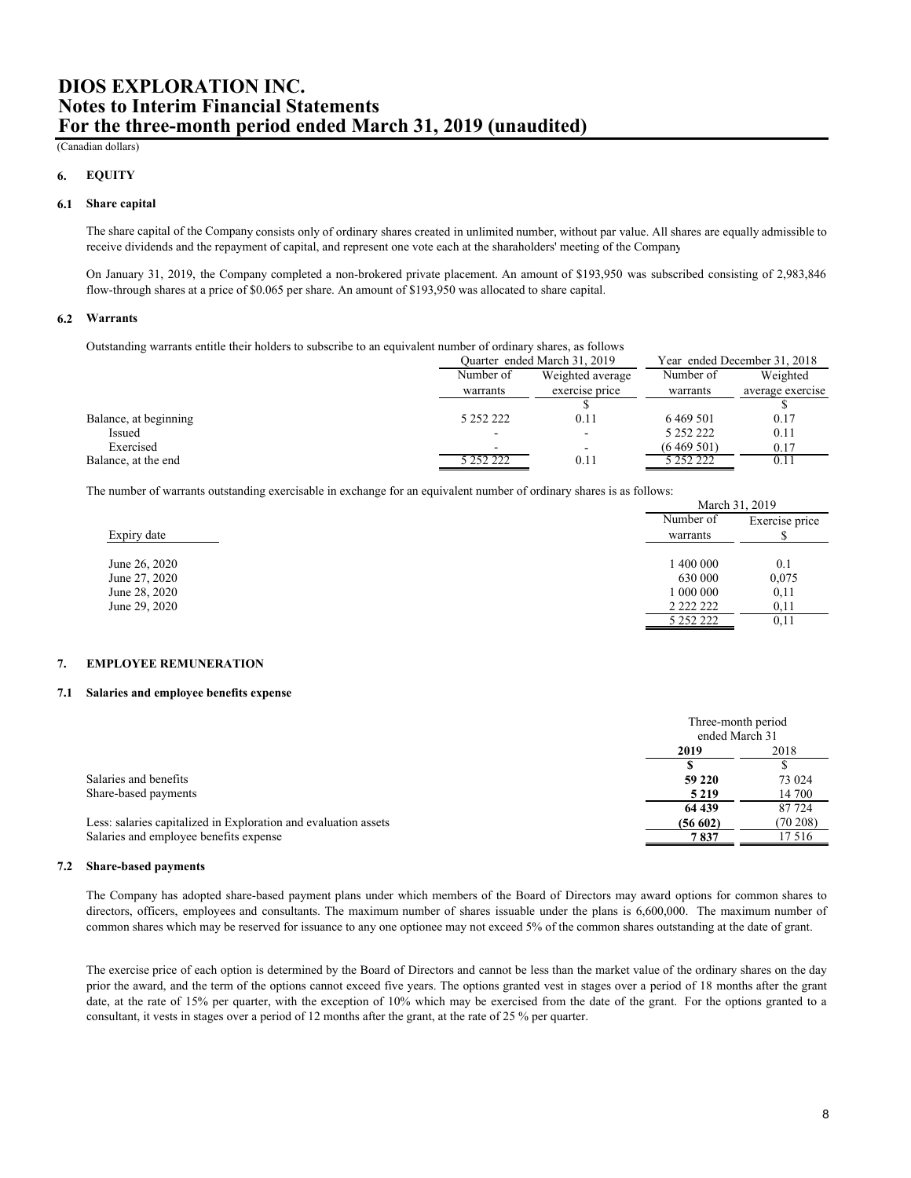### (Canadian dollars)

#### **6. EQUITY**

### **6.1 Share capital**

The share capital of the Company consists only of ordinary shares created in unlimited number, without par value. All shares are equally admissible to receive dividends and the repayment of capital, and represent one vote each at the sharaholders' meeting of the Company

On January 31, 2019, the Company completed a non-brokered private placement. An amount of \$193,950 was subscribed consisting of 2,983,846 flow-through shares at a price of \$0.065 per share. An amount of \$193,950 was allocated to share capital.

#### **6.2 Warrants**

Outstanding warrants entitle their holders to subscribe to an equivalent number of ordinary shares, as follows

|                       | Ouarter ended March 31, 2019 |                          | Year ended December 31, 2018 |                  |
|-----------------------|------------------------------|--------------------------|------------------------------|------------------|
|                       | Number of                    | Weighted average         |                              | Weighted         |
|                       | warrants                     | exercise price           | warrants                     | average exercise |
|                       |                              |                          |                              |                  |
| Balance, at beginning | 5 252 222                    | 0.11                     | 6 4 69 5 01                  | 0.17             |
| Issued                | -                            | $\overline{\phantom{a}}$ | 5 252 222                    | 0.11             |
| Exercised             |                              | -                        | (6469501)                    | 0.17             |
| Balance, at the end   | 5 252 222                    | 0.11                     | 5 252 222                    | 0.11             |

The number of warrants outstanding exercisable in exchange for an equivalent number of ordinary shares is as follows:

|               | March 31, 2017 |                |
|---------------|----------------|----------------|
|               | Number of      | Exercise price |
| Expiry date   | warrants       |                |
|               |                |                |
| June 26, 2020 | 1 400 000      | 0.1            |
| June 27, 2020 | 630 000        | 0,075          |
| June 28, 2020 | 1 000 000      | 0,11           |
| June 29, 2020 |                | 0,11           |
|               | 5 252 222      | 0,11           |

#### **7. EMPLOYEE REMUNERATION**

#### **7.1 Salaries and employee benefits expense**

|                                                                 | Three-month period<br>ended March 31 |          |
|-----------------------------------------------------------------|--------------------------------------|----------|
|                                                                 | 2019                                 | 2018     |
|                                                                 |                                      |          |
| Salaries and benefits                                           | 59 220                               | 73 024   |
| Share-based payments                                            | 5 2 1 9                              | 14 700   |
|                                                                 | 64 439                               | 87 724   |
| Less: salaries capitalized in Exploration and evaluation assets | (56602)                              | (70 208) |
| Salaries and employee benefits expense                          | 7837                                 | 17 5 16  |
|                                                                 |                                      |          |

### **7.2 Share-based payments**

The Company has adopted share-based payment plans under which members of the Board of Directors may award options for common shares to directors, officers, employees and consultants. The maximum number of shares issuable under the plans is 6,600,000. The maximum number of common shares which may be reserved for issuance to any one optionee may not exceed 5% of the common shares outstanding at the date of grant.

The exercise price of each option is determined by the Board of Directors and cannot be less than the market value of the ordinary shares on the day prior the award, and the term of the options cannot exceed five years. The options granted vest in stages over a period of 18 months after the grant date, at the rate of 15% per quarter, with the exception of 10% which may be exercised from the date of the grant. For the options granted to a consultant, it vests in stages over a period of 12 months after the grant, at the rate of 25 % per quarter.

 $M_{\text{c}} = 1, 21, 2010$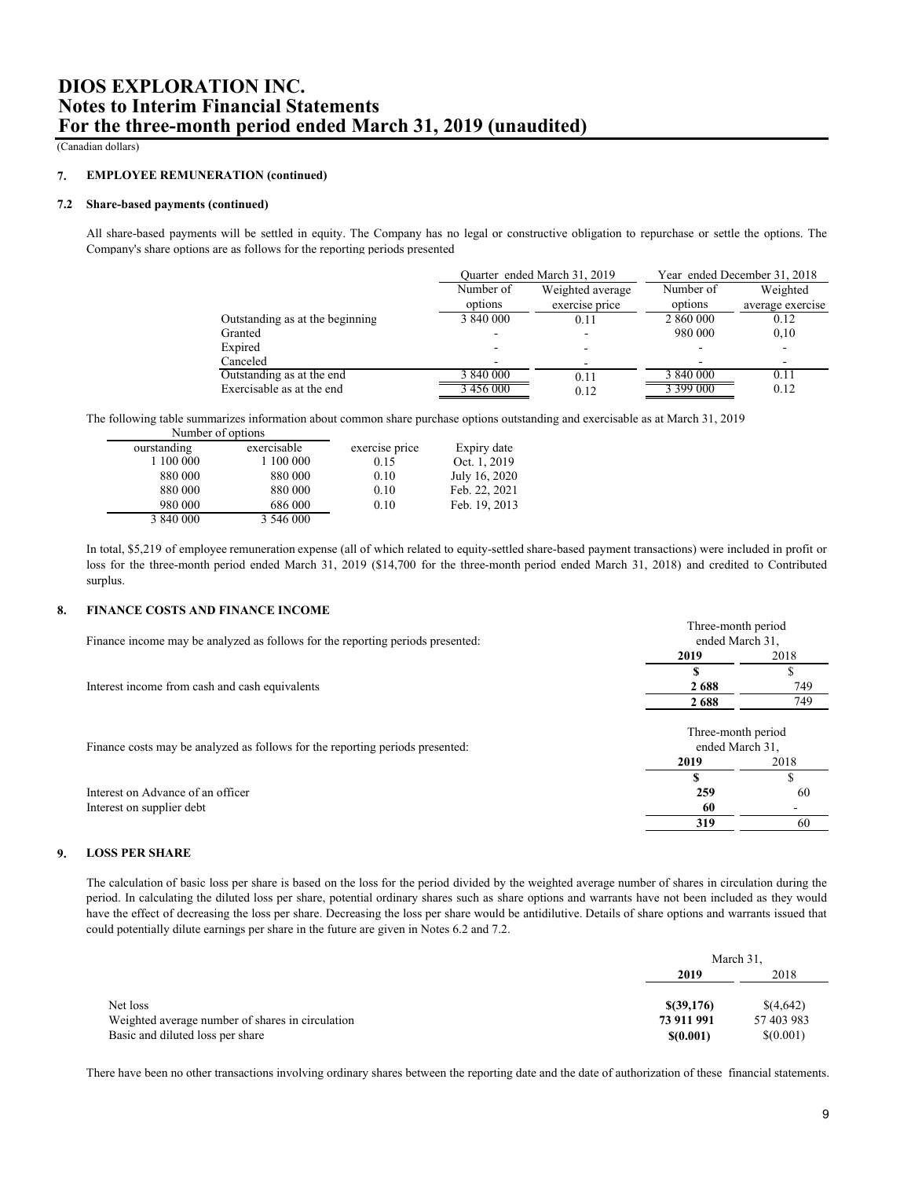(Canadian dollars)

#### **7. EMPLOYEE REMUNERATION (continued)**

### **7.2 Share-based payments (continued)**

All share-based payments will be settled in equity. The Company has no legal or constructive obligation to repurchase or settle the options. The Company's share options are as follows for the reporting periods presented

|                                 | Quarter ended March 31, 2019 |                  |           | Year ended December 31, 2018 |
|---------------------------------|------------------------------|------------------|-----------|------------------------------|
|                                 | Number of                    | Weighted average |           | Weighted                     |
|                                 | options                      | exercise price   | options   | average exercise             |
| Outstanding as at the beginning | 3 840 000                    | 0.11             | 2 860 000 | 0.12                         |
| Granted                         |                              |                  | 980 000   | 0,10                         |
| Expired                         |                              |                  |           |                              |
| Canceled                        |                              |                  |           |                              |
| Outstanding as at the end       | 3 840 000                    | 0.11             | 3 840 000 | 0.11                         |
| Exercisable as at the end       | 456 000                      | 0.12             | : 399 000 | 0.12                         |

The following table summarizes information about common share purchase options outstanding and exercisable as at March 31, 2019 Number of options

| ourstanding | exercisable | exercise price | Expiry date   |
|-------------|-------------|----------------|---------------|
| 1 100 000   | 1 100 000   | 0.15           | Oct. 1, 2019  |
| 880 000     | 880 000     | 0.10           | July 16, 2020 |
| 880 000     | 880 000     | 0.10           | Feb. 22, 2021 |
| 980 000     | 686 000     | 0.10           | Feb. 19, 2013 |
| 3 840 000   | 3 546 000   |                |               |

In total, \$5,219 of employee remuneration expense (all of which related to equity-settled share-based payment transactions) were included in profit or loss for the three-month period ended March 31, 2019 (\$14,700 for the three-month period ended March 31, 2018) and credited to Contributed surplus.

#### **8. FINANCE COSTS AND FINANCE INCOME**

|                                                                                | Three-month period<br>ended March 31, |      |
|--------------------------------------------------------------------------------|---------------------------------------|------|
| Finance income may be analyzed as follows for the reporting periods presented: |                                       |      |
|                                                                                | 2019                                  | 2018 |
|                                                                                |                                       |      |
| Interest income from cash and cash equivalents                                 | 2688                                  | 749  |
|                                                                                | 2688                                  | 749  |
| Finance costs may be analyzed as follows for the reporting periods presented:  | Three-month period<br>ended March 31, |      |
|                                                                                | 2019                                  | 2018 |
|                                                                                |                                       |      |
| Interest on Advance of an officer                                              | 259                                   | -60  |
| Interest on supplier debt                                                      | 60                                    |      |
|                                                                                | 319                                   | 60   |

#### **9. LOSS PER SHARE**

The calculation of basic loss per share is based on the loss for the period divided by the weighted average number of shares in circulation during the period. In calculating the diluted loss per share, potential ordinary shares such as share options and warrants have not been included as they would have the effect of decreasing the loss per share. Decreasing the loss per share would be antidilutive. Details of share options and warrants issued that could potentially dilute earnings per share in the future are given in Notes 6.2 and 7.2.

|                                                  | March 31.  |            |
|--------------------------------------------------|------------|------------|
|                                                  | 2019       | 2018       |
|                                                  |            |            |
| Net loss                                         | \$(39,176) | \$(4,642)  |
| Weighted average number of shares in circulation | 73 911 991 | 57 403 983 |
| Basic and diluted loss per share                 | \$(0.001)  | \$(0.001)  |

There have been no other transactions involving ordinary shares between the reporting date and the date of authorization of these financial statements.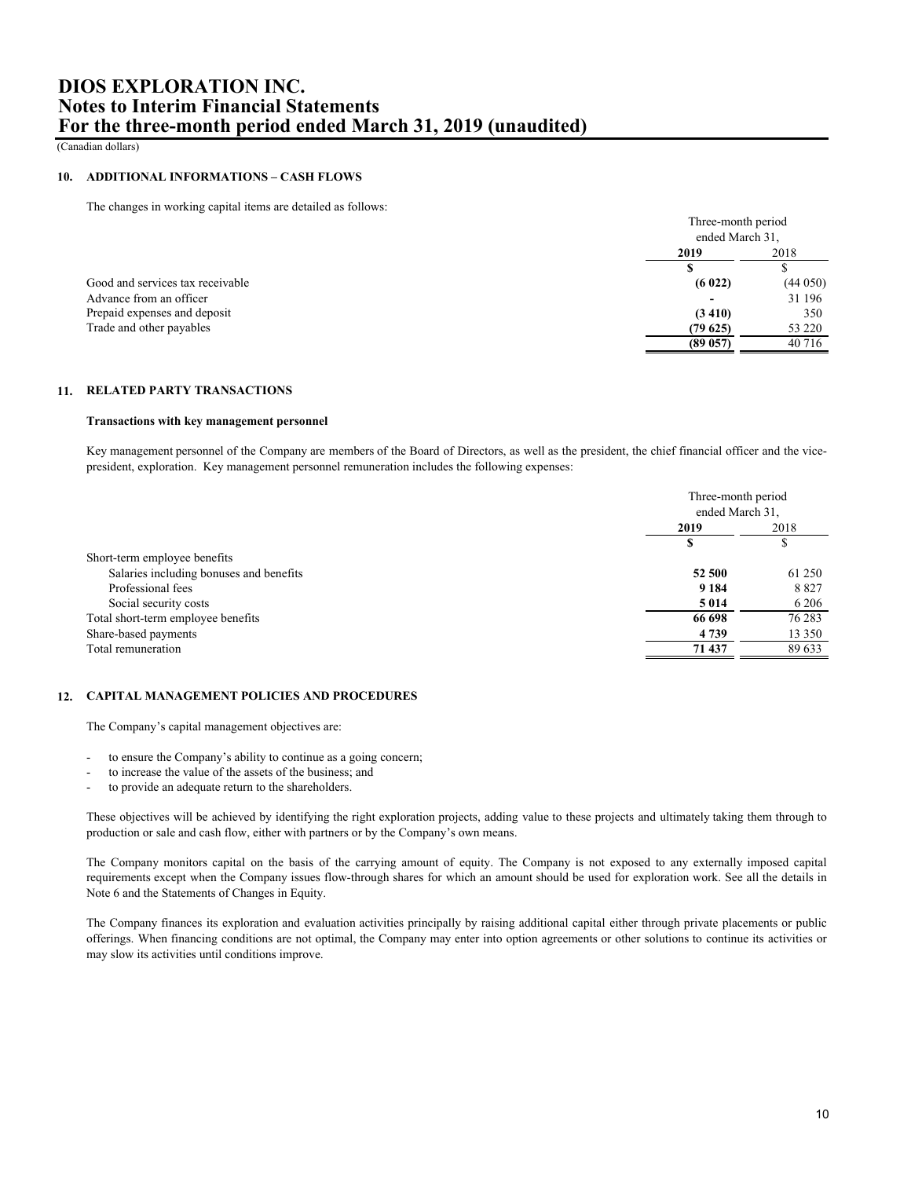(Canadian dollars)

### **10. ADDITIONAL INFORMATIONS – CASH FLOWS**

The changes in working capital items are detailed as follows:

|                                  | Three-month period |         |
|----------------------------------|--------------------|---------|
|                                  | ended March 31,    |         |
|                                  | 2019               | 2018    |
|                                  |                    |         |
| Good and services tax receivable | (6022)             | (44050) |
| Advance from an officer          |                    | 31 196  |
| Prepaid expenses and deposit     | (3410)             | 350     |
| Trade and other payables         | (79625)            | 53 220  |
|                                  | (89057)            | 40 716  |

### **11. RELATED PARTY TRANSACTIONS**

### **Transactions with key management personnel**

Key management personnel of the Company are members of the Board of Directors, as well as the president, the chief financial officer and the vicepresident, exploration. Key management personnel remuneration includes the following expenses:

|                                         | Three-month period<br>ended March 31, |         |
|-----------------------------------------|---------------------------------------|---------|
|                                         |                                       |         |
|                                         | 2019                                  | 2018    |
|                                         |                                       | э       |
| Short-term employee benefits            |                                       |         |
| Salaries including bonuses and benefits | 52 500                                | 61 250  |
| Professional fees                       | 9 1 8 4                               | 8827    |
| Social security costs                   | 5 0 1 4                               | 6 2 0 6 |
| Total short-term employee benefits      | 66 698                                | 76 283  |
| Share-based payments                    | 4 7 3 9                               | 13 350  |
| Total remuneration                      | 71 437                                | 89 633  |

### **12. CAPITAL MANAGEMENT POLICIES AND PROCEDURES**

The Company's capital management objectives are:

- to ensure the Company's ability to continue as a going concern;
- to increase the value of the assets of the business; and
- to provide an adequate return to the shareholders.

These objectives will be achieved by identifying the right exploration projects, adding value to these projects and ultimately taking them through to production or sale and cash flow, either with partners or by the Company's own means.

The Company monitors capital on the basis of the carrying amount of equity. The Company is not exposed to any externally imposed capital requirements except when the Company issues flow-through shares for which an amount should be used for exploration work. See all the details in Note 6 and the Statements of Changes in Equity.

The Company finances its exploration and evaluation activities principally by raising additional capital either through private placements or public offerings. When financing conditions are not optimal, the Company may enter into option agreements or other solutions to continue its activities or may slow its activities until conditions improve.